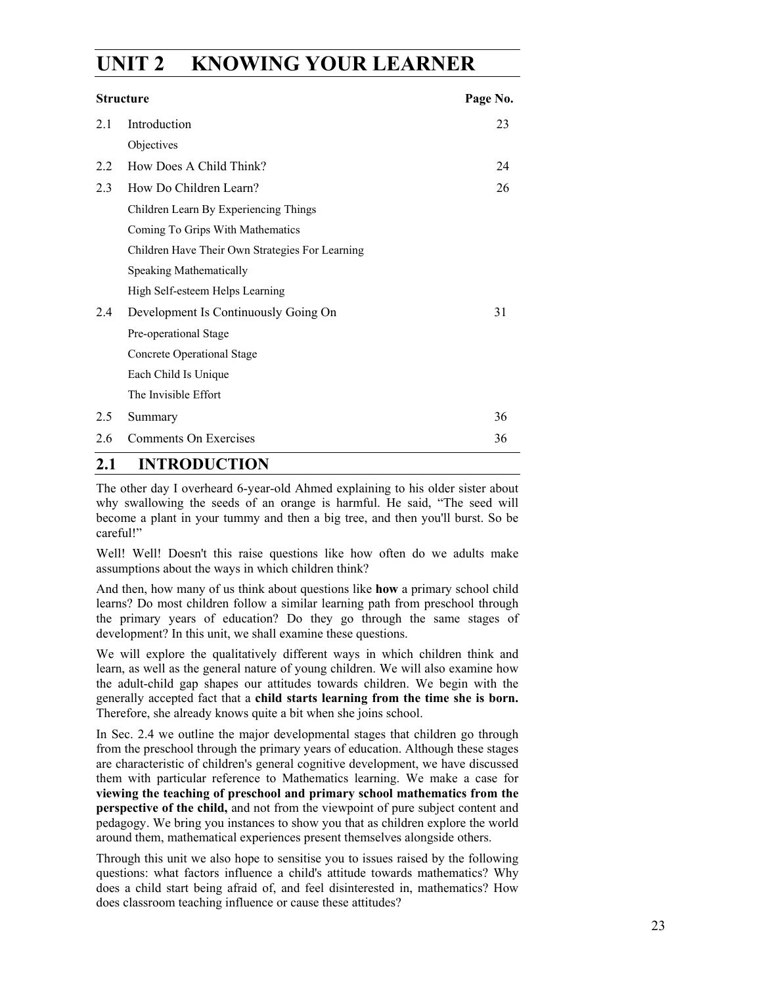# **UNIT 2 KNOWING YOUR LEARNER**

| <b>Structure</b> |                                                 | Page No. |
|------------------|-------------------------------------------------|----------|
| 2.1              | Introduction                                    | 23       |
|                  | Objectives                                      |          |
| 2.2              | How Does A Child Think?                         | 24       |
| 2.3              | How Do Children Learn?                          | 26       |
|                  | Children Learn By Experiencing Things           |          |
|                  | Coming To Grips With Mathematics                |          |
|                  | Children Have Their Own Strategies For Learning |          |
|                  | Speaking Mathematically                         |          |
|                  | High Self-esteem Helps Learning                 |          |
| 2.4              | Development Is Continuously Going On            | 31       |
|                  | Pre-operational Stage                           |          |
|                  | <b>Concrete Operational Stage</b>               |          |
|                  | Each Child Is Unique                            |          |
|                  | The Invisible Effort                            |          |
| 2.5              | Summary                                         | 36       |
| 2.6              | Comments On Exercises                           | 36       |

## **2.1 INTRODUCTION**

The other day I overheard 6-year-old Ahmed explaining to his older sister about why swallowing the seeds of an orange is harmful. He said, "The seed will become a plant in your tummy and then a big tree, and then you'll burst. So be careful!"

Well! Well! Doesn't this raise questions like how often do we adults make assumptions about the ways in which children think?

And then, how many of us think about questions like **how** a primary school child learns? Do most children follow a similar learning path from preschool through the primary years of education? Do they go through the same stages of development? In this unit, we shall examine these questions.

We will explore the qualitatively different ways in which children think and learn, as well as the general nature of young children. We will also examine how the adult-child gap shapes our attitudes towards children. We begin with the generally accepted fact that a **child starts learning from the time she is born.**  Therefore, she already knows quite a bit when she joins school.

In Sec. 2.4 we outline the major developmental stages that children go through from the preschool through the primary years of education. Although these stages are characteristic of children's general cognitive development, we have discussed them with particular reference to Mathematics learning. We make a case for **viewing the teaching of preschool and primary school mathematics from the perspective of the child,** and not from the viewpoint of pure subject content and pedagogy. We bring you instances to show you that as children explore the world around them, mathematical experiences present themselves alongside others.

Through this unit we also hope to sensitise you to issues raised by the following questions: what factors influence a child's attitude towards mathematics? Why does a child start being afraid of, and feel disinterested in, mathematics? How does classroom teaching influence or cause these attitudes?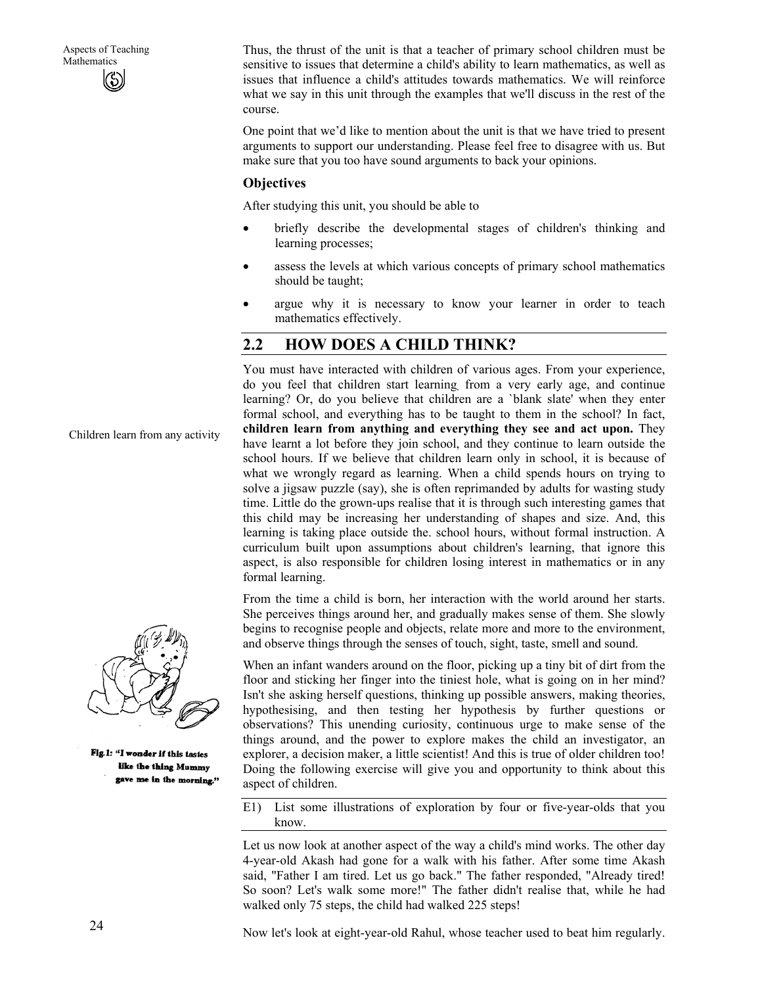Thus, the thrust of the unit is that a teacher of primary school children must be sensitive to issues that determine a child's ability to learn mathematics, as well as issues that influence a child's attitudes towards mathematics. We will reinforce what we say in this unit through the examples that we'll discuss in the rest of the course.

One point that we'd like to mention about the unit is that we have tried to present arguments to support our understanding. Please feel free to disagree with us. But make sure that you too have sound arguments to back your opinions.

#### **Objectives**

After studying this unit, you should be able to

- briefly describe the developmental stages of children's thinking and learning processes;
- assess the levels at which various concepts of primary school mathematics should be taught;
- argue why it is necessary to know your learner in order to teach mathematics effectively.

# **2.2 HOW DOES A CHILD THINK?**

You must have interacted with children of various ages. From your experience, do you feel that children start learning, from a very early age, and continue learning? Or, do you believe that children are a `blank slate' when they enter formal school, and everything has to be taught to them in the school? In fact, **children learn from anything and everything they see and act upon.** They have learnt a lot before they join school, and they continue to learn outside the school hours. If we believe that children learn only in school, it is because of what we wrongly regard as learning. When a child spends hours on trying to solve a jigsaw puzzle (say), she is often reprimanded by adults for wasting study time. Little do the grown-ups realise that it is through such interesting games that this child may be increasing her understanding of shapes and size. And, this learning is taking place outside the. school hours, without formal instruction. A curriculum built upon assumptions about children's learning, that ignore this aspect, is also responsible for children losing interest in mathematics or in any formal learning.

From the time a child is born, her interaction with the world around her starts. She perceives things around her, and gradually makes sense of them. She slowly begins to recognise people and objects, relate more and more to the environment, and observe things through the senses of touch, sight, taste, smell and sound.

When an infant wanders around on the floor, picking up a tiny bit of dirt from the floor and sticking her finger into the tiniest hole, what is going on in her mind? Isn't she asking herself questions, thinking up possible answers, making theories, hypothesising, and then testing her hypothesis by further questions or observations? This unending curiosity, continuous urge to make sense of the things around, and the power to explore makes the child an investigator, an explorer, a decision maker, a little scientist! And this is true of older children too! Doing the following exercise will give you and opportunity to think about this aspect of children.

E1) List some illustrations of exploration by four or five-year-olds that you know.

Let us now look at another aspect of the way a child's mind works. The other day 4-year-old Akash had gone for a walk with his father. After some time Akash said, "Father I am tired. Let us go back." The father responded, "Already tired! So soon? Let's walk some more!" The father didn't realise that, while he had walked only 75 steps, the child had walked 225 steps!



Children learn from any activity

Fig.1: "I wonder if this tastes like the thing Mummy gave me in the morning."

Now let's look at eight-year-old Rahul, whose teacher used to beat him regularly.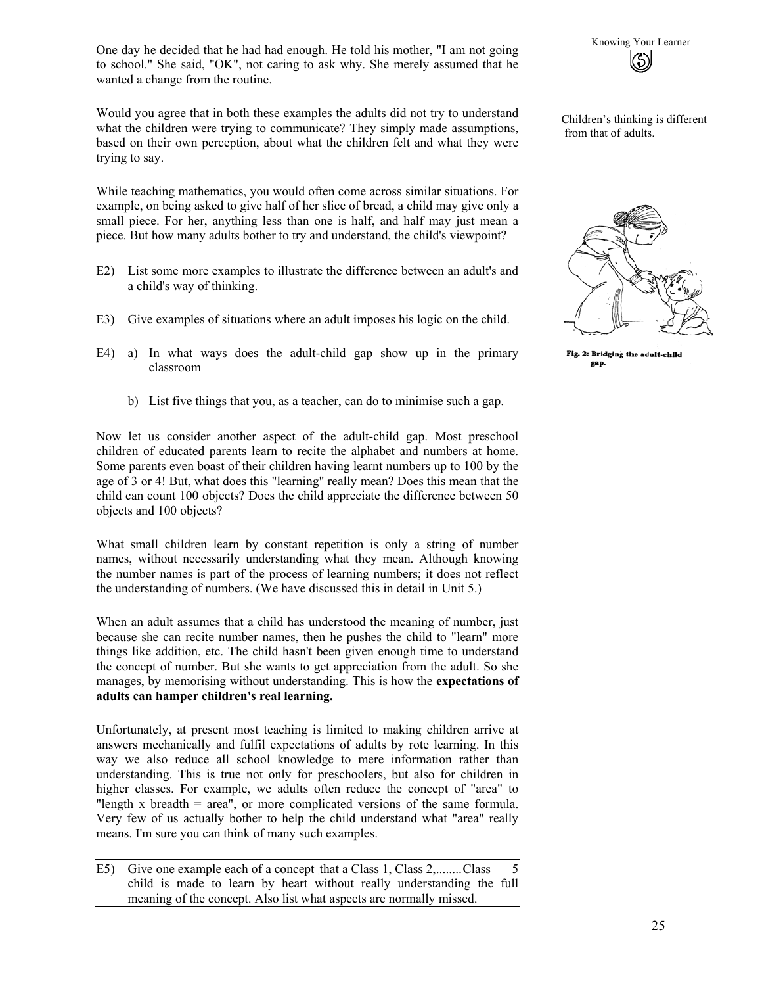One day he decided that he had had enough. He told his mother, "I am not going<br>to school " She said "OK" not caring to ask why She merely assumed that he to school." She said, "OK", not caring to ask why. She merely assumed that he wanted a change from the routine.

Would you agree that in both these examples the adults did not try to understand what the children were trying to communicate? They simply made assumptions, based on their own perception, about what the children felt and what they were trying to say.

While teaching mathematics, you would often come across similar situations. For example, on being asked to give half of her slice of bread, a child may give only a small piece. For her, anything less than one is half, and half may just mean a piece. But how many adults bother to try and understand, the child's viewpoint?

- E2) List some more examples to illustrate the difference between an adult's and a child's way of thinking.
- E3) Give examples of situations where an adult imposes his logic on the child.
- E4) a) In what ways does the adult-child gap show up in the primary classroom

#### b) List five things that you, as a teacher, can do to minimise such a gap.

Now let us consider another aspect of the adult-child gap. Most preschool children of educated parents learn to recite the alphabet and numbers at home. Some parents even boast of their children having learnt numbers up to 100 by the age of 3 or 4! But, what does this "learning" really mean? Does this mean that the child can count 100 objects? Does the child appreciate the difference between 50 objects and 100 objects?

What small children learn by constant repetition is only a string of number names, without necessarily understanding what they mean. Although knowing the number names is part of the process of learning numbers; it does not reflect the understanding of numbers. (We have discussed this in detail in Unit 5.)

When an adult assumes that a child has understood the meaning of number, just because she can recite number names, then he pushes the child to "learn" more things like addition, etc. The child hasn't been given enough time to understand the concept of number. But she wants to get appreciation from the adult. So she manages, by memorising without understanding. This is how the **expectations of adults can hamper children's real learning.** 

Unfortunately, at present most teaching is limited to making children arrive at answers mechanically and fulfil expectations of adults by rote learning. In this way we also reduce all school knowledge to mere information rather than understanding. This is true not only for preschoolers, but also for children in higher classes. For example, we adults often reduce the concept of "area" to "length x breadth = area", or more complicated versions of the same formula. Very few of us actually bother to help the child understand what "area" really means. I'm sure you can think of many such examples.



Children's thinking is different from that of adults.



Fig. 2: Bridging the adult-child gap.

E5) Give one example each of a concept that a Class 1, Class 2,........Class 5 child is made to learn by heart without really understanding the full meaning of the concept. Also list what aspects are normally missed.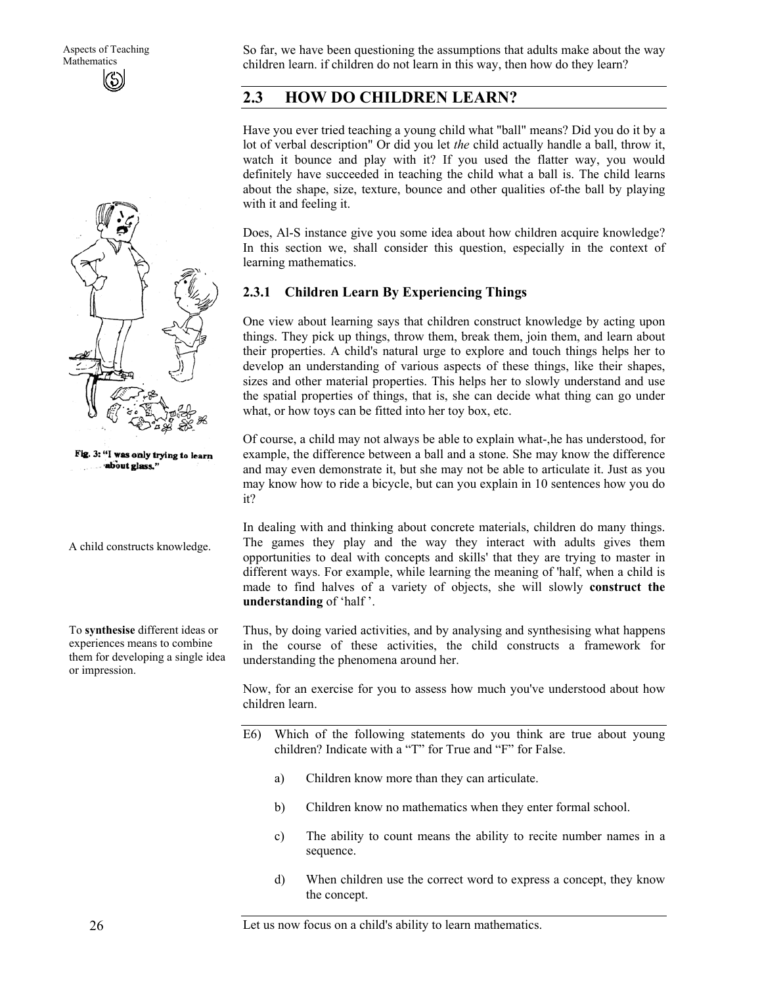

Fig. 3: "I was only trying to learn about glass."

A child constructs knowledge.

To **synthesise** different ideas or experiences means to combine them for developing a single idea or impression.

So far, we have been questioning the assumptions that adults make about the way children learn. if children do not learn in this way, then how do they learn?

### **2.3 HOW DO CHILDREN LEARN?**

Have you ever tried teaching a young child what "ball" means? Did you do it by a lot of verbal description" Or did you let *the* child actually handle a ball, throw it, watch it bounce and play with it? If you used the flatter way, you would definitely have succeeded in teaching the child what a ball is. The child learns about the shape, size, texture, bounce and other qualities of-the ball by playing with it and feeling it.

Does, Al-S instance give you some idea about how children acquire knowledge? In this section we, shall consider this question, especially in the context of learning mathematics.

#### **2.3.1 Children Learn By Experiencing Things**

One view about learning says that children construct knowledge by acting upon things. They pick up things, throw them, break them, join them, and learn about their properties. A child's natural urge to explore and touch things helps her to develop an understanding of various aspects of these things, like their shapes, sizes and other material properties. This helps her to slowly understand and use the spatial properties of things, that is, she can decide what thing can go under what, or how toys can be fitted into her toy box, etc.

Of course, a child may not always be able to explain what-,he has understood, for example, the difference between a ball and a stone. She may know the difference and may even demonstrate it, but she may not be able to articulate it. Just as you may know how to ride a bicycle, but can you explain in 10 sentences how you do it?

In dealing with and thinking about concrete materials, children do many things. The games they play and the way they interact with adults gives them opportunities to deal with concepts and skills' that they are trying to master in different ways. For example, while learning the meaning of 'half, when a child is made to find halves of a variety of objects, she will slowly **construct the understanding** of 'half '.

Thus, by doing varied activities, and by analysing and synthesising what happens in the course of these activities, the child constructs a framework for understanding the phenomena around her.

Now, for an exercise for you to assess how much you've understood about how children learn.

- E6) Which of the following statements do you think are true about young children? Indicate with a "T" for True and "F" for False.
	- a) Children know more than they can articulate.
	- b) Children know no mathematics when they enter formal school.
	- c) The ability to count means the ability to recite number names in a sequence.
	- d) When children use the correct word to express a concept, they know the concept.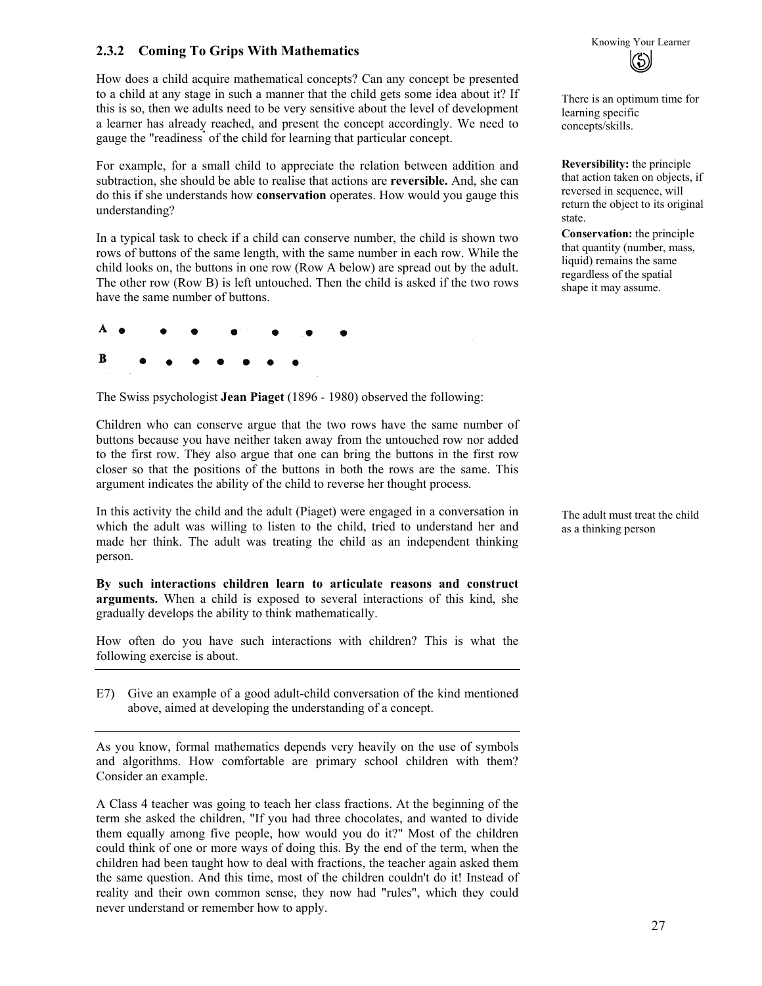# **2.3.2 Coming To Grips With Mathematics Example 2.3.2** Coming To Grips With Mathematics **According 2.3.2** Coming To Grips With Mathematics

How does a child acquire mathematical concepts? Can any concept be presented to a child at any stage in such a manner that the child gets some idea about it? If this is so, then we adults need to be very sensitive about the level of development a learner has already reached, and present the concept accordingly. We need to gauge the "readiness" of the child for learning that particular concept.

For example, for a small child to appreciate the relation between addition and subtraction, she should be able to realise that actions are **reversible.** And, she can do this if she understands how **conservation** operates. How would you gauge this understanding?

In a typical task to check if a child can conserve number, the child is shown two rows of buttons of the same length, with the same number in each row. While the child looks on, the buttons in one row (Row A below) are spread out by the adult. The other row (Row B) is left untouched. Then the child is asked if the two rows have the same number of buttons.



The Swiss psychologist **Jean Piaget** (1896 - 1980) observed the following:

Children who can conserve argue that the two rows have the same number of buttons because you have neither taken away from the untouched row nor added to the first row. They also argue that one can bring the buttons in the first row closer so that the positions of the buttons in both the rows are the same. This argument indicates the ability of the child to reverse her thought process.

In this activity the child and the adult (Piaget) were engaged in a conversation in which the adult was willing to listen to the child, tried to understand her and made her think. The adult was treating the child as an independent thinking person.

**By such interactions children learn to articulate reasons and construct arguments.** When a child is exposed to several interactions of this kind, she gradually develops the ability to think mathematically.

How often do you have such interactions with children? This is what the following exercise is about.

E7) Give an example of a good adult-child conversation of the kind mentioned above, aimed at developing the understanding of a concept.

As you know, formal mathematics depends very heavily on the use of symbols and algorithms. How comfortable are primary school children with them? Consider an example.

A Class 4 teacher was going to teach her class fractions. At the beginning of the term she asked the children, "If you had three chocolates, and wanted to divide them equally among five people, how would you do it?" Most of the children could think of one or more ways of doing this. By the end of the term, when the children had been taught how to deal with fractions, the teacher again asked them the same question. And this time, most of the children couldn't do it! Instead of reality and their own common sense, they now had "rules", which they could never understand or remember how to apply.



There is an optimum time for learning specific concepts/skills.

**Reversibility:** the principle that action taken on objects, if reversed in sequence, will return the object to its original state.

**Conservation:** the principle that quantity (number, mass, liquid) remains the same regardless of the spatial shape it may assume.

The adult must treat the child as a thinking person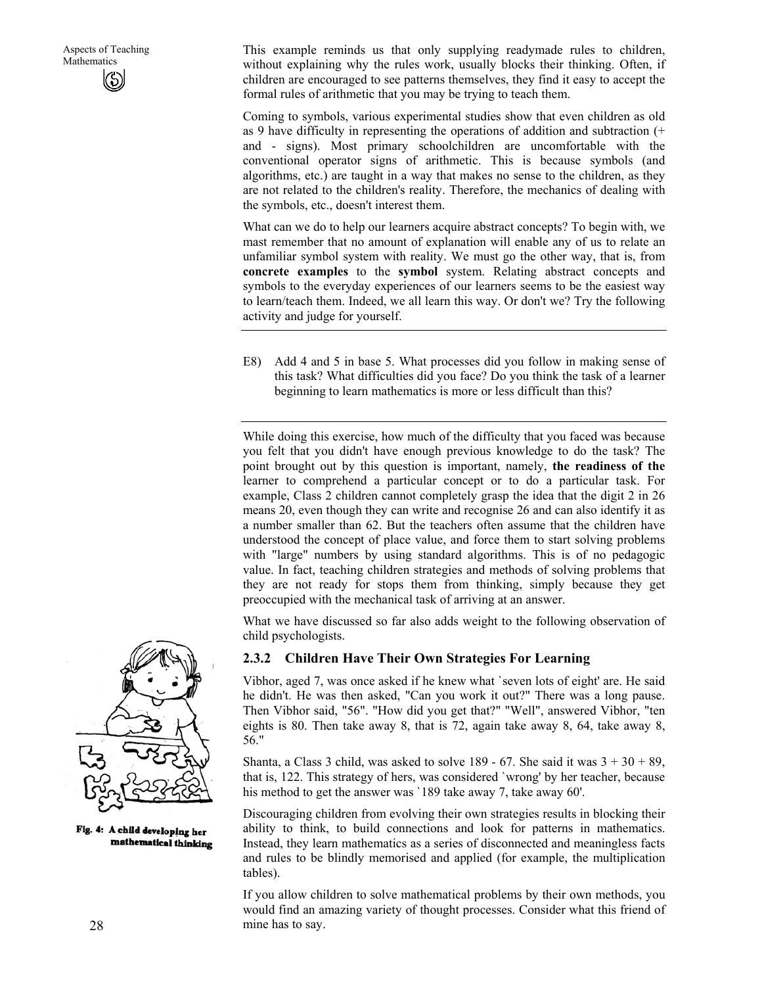This example reminds us that only supplying readymade rules to children, without explaining why the rules work, usually blocks their thinking. Often, if children are encouraged to see patterns themselves, they find it easy to accept the formal rules of arithmetic that you may be trying to teach them.

Coming to symbols, various experimental studies show that even children as old as 9 have difficulty in representing the operations of addition and subtraction (+ and - signs). Most primary schoolchildren are uncomfortable with the conventional operator signs of arithmetic. This is because symbols (and algorithms, etc.) are taught in a way that makes no sense to the children, as they are not related to the children's reality. Therefore, the mechanics of dealing with the symbols, etc., doesn't interest them.

What can we do to help our learners acquire abstract concepts? To begin with, we mast remember that no amount of explanation will enable any of us to relate an unfamiliar symbol system with reality. We must go the other way, that is, from **concrete examples** to the **symbol** system. Relating abstract concepts and symbols to the everyday experiences of our learners seems to be the easiest way to learn/teach them. Indeed, we all learn this way. Or don't we? Try the following activity and judge for yourself.

E8) Add 4 and 5 in base 5. What processes did you follow in making sense of this task? What difficulties did you face? Do you think the task of a learner beginning to learn mathematics is more or less difficult than this?

While doing this exercise, how much of the difficulty that you faced was because you felt that you didn't have enough previous knowledge to do the task? The point brought out by this question is important, namely, **the readiness of the**  learner to comprehend a particular concept or to do a particular task. For example, Class 2 children cannot completely grasp the idea that the digit 2 in 26 means 20, even though they can write and recognise 26 and can also identify it as a number smaller than 62. But the teachers often assume that the children have understood the concept of place value, and force them to start solving problems with "large" numbers by using standard algorithms. This is of no pedagogic value. In fact, teaching children strategies and methods of solving problems that they are not ready for stops them from thinking, simply because they get preoccupied with the mechanical task of arriving at an answer.

What we have discussed so far also adds weight to the following observation of child psychologists.

#### **2.3.2 Children Have Their Own Strategies For Learning**

Vibhor, aged 7, was once asked if he knew what `seven lots of eight' are. He said he didn't. He was then asked, "Can you work it out?" There was a long pause. Then Vibhor said, "56". "How did you get that?" "Well", answered Vibhor, "ten eights is 80. Then take away 8, that is 72, again take away 8, 64, take away 8, 56."

Shanta, a Class 3 child, was asked to solve  $189 - 67$ . She said it was  $3 + 30 + 89$ , that is, 122. This strategy of hers, was considered `wrong' by her teacher, because his method to get the answer was '189 take away 7, take away 60'.

Discouraging children from evolving their own strategies results in blocking their ability to think, to build connections and look for patterns in mathematics. Instead, they learn mathematics as a series of disconnected and meaningless facts and rules to be blindly memorised and applied (for example, the multiplication tables).

If you allow children to solve mathematical problems by their own methods, you would find an amazing variety of thought processes. Consider what this friend of mine has to say.



Fig. 4: A child developing her mathematical thinking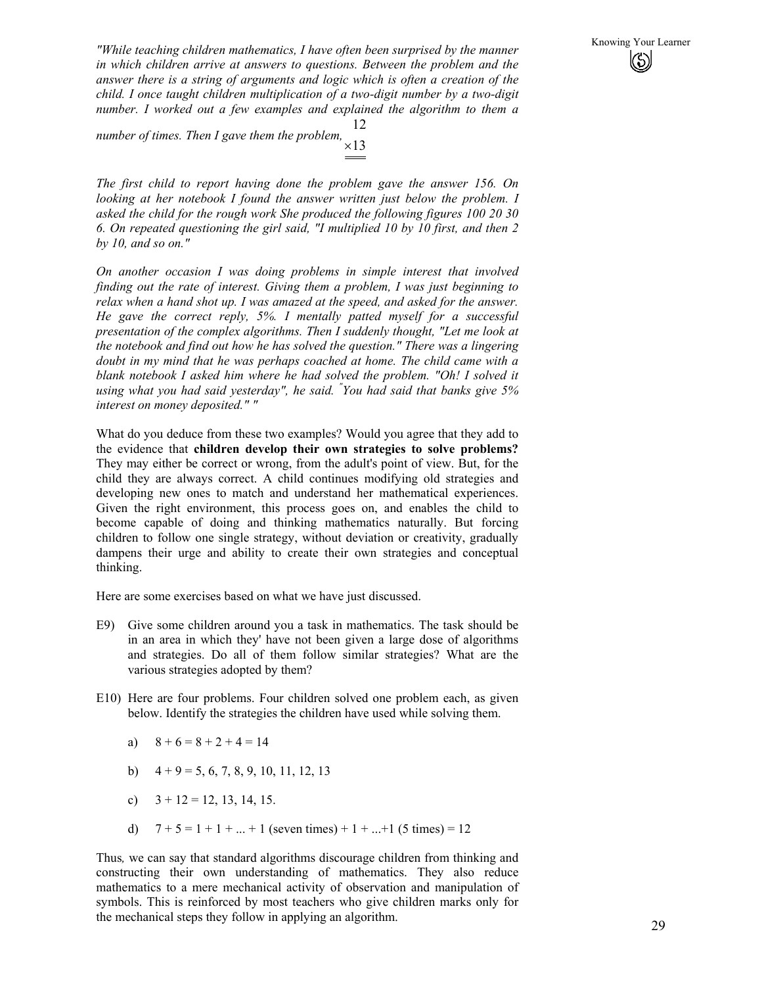Knowing Your Learner *"While teaching children mathematics, I have often been surprised by the manner* **The State of the Manner** *in which children arrive at answers to auestions. Between the problem and the in which children arrive at answers to questions. Between the problem and the answer there is a string of arguments and logic which is often a creation of the child. I once taught children multiplication of a two-digit number by a two-digit number. I worked out a few examples and explained the algorithm to them a* 

*number of times. Then I gave them the problem,* <sup>×</sup><sup>13</sup> 12

*The first child to report having done the problem gave the answer 156. On looking at her notebook I found the answer written just below the problem. I asked the child for the rough work She produced the following figures 100 20 30 6. On repeated questioning the girl said, "I multiplied 10 by 10 first, and then 2 by 10, and so on."* 

*On another occasion I was doing problems in simple interest that involved finding out the rate of interest. Giving them a problem, I was just beginning to relax when a hand shot up. I was amazed at the speed, and asked for the answer. He gave the correct reply, 5%. I mentally patted myself for a successful presentation of the complex algorithms. Then I suddenly thought, "Let me look at the notebook and find out how he has solved the question." There was a lingering doubt in my mind that he was perhaps coached at home. The child came with a*  blank notebook I asked him where he had solved the problem. "Oh! I solved it *using what you had said yesterday", he said. " You had said that banks give 5% interest on money deposited." "* 

What do you deduce from these two examples? Would you agree that they add to the evidence that **children develop their own strategies to solve problems?**  They may either be correct or wrong, from the adult's point of view. But, for the child they are always correct. A child continues modifying old strategies and developing new ones to match and understand her mathematical experiences. Given the right environment, this process goes on, and enables the child to become capable of doing and thinking mathematics naturally. But forcing children to follow one single strategy, without deviation or creativity, gradually dampens their urge and ability to create their own strategies and conceptual thinking.

Here are some exercises based on what we have just discussed.

- E9) Give some children around you a task in mathematics. The task should be in an area in which they' have not been given a large dose of algorithms and strategies. Do all of them follow similar strategies? What are the various strategies adopted by them?
- E10) Here are four problems. Four children solved one problem each, as given below. Identify the strategies the children have used while solving them.
	- a)  $8 + 6 = 8 + 2 + 4 = 14$
	- b)  $4 + 9 = 5, 6, 7, 8, 9, 10, 11, 12, 13$
	- c)  $3 + 12 = 12, 13, 14, 15.$
	- d)  $7 + 5 = 1 + 1 + ... + 1$  (seven times) + 1 + ... + 1 (5 times) = 12

Thus*,* we can say that standard algorithms discourage children from thinking and constructing their own understanding of mathematics. They also reduce mathematics to a mere mechanical activity of observation and manipulation of symbols. This is reinforced by most teachers who give children marks only for the mechanical steps they follow in applying an algorithm.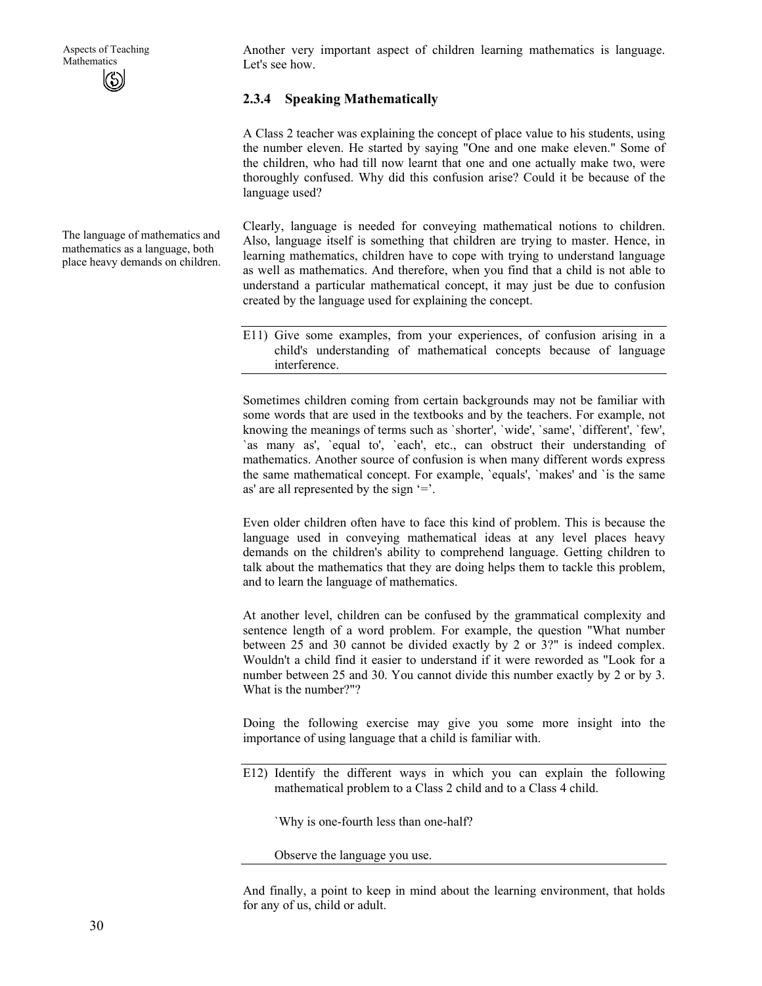The language of mathematics and mathematics as a language, both place heavy demands on children.

Another very important aspect of children learning mathematics is language. Let's see how.

#### **2.3.4 Speaking Mathematically**

A Class 2 teacher was explaining the concept of place value to his students, using the number eleven. He started by saying "One and one make eleven." Some of the children, who had till now learnt that one and one actually make two, were thoroughly confused. Why did this confusion arise? Could it be because of the language used?

Clearly, language is needed for conveying mathematical notions to children. Also, language itself is something that children are trying to master. Hence, in learning mathematics, children have to cope with trying to understand language as well as mathematics. And therefore, when you find that a child is not able to understand a particular mathematical concept, it may just be due to confusion created by the language used for explaining the concept.

E11) Give some examples, from your experiences, of confusion arising in a child's understanding of mathematical concepts because of language interference.

Sometimes children coming from certain backgrounds may not be familiar with some words that are used in the textbooks and by the teachers. For example, not knowing the meanings of terms such as `shorter', `wide', `same', `different', `few', `as many as', `equal to', `each', etc., can obstruct their understanding of mathematics. Another source of confusion is when many different words express the same mathematical concept. For example, `equals', `makes' and `is the same as' are all represented by the sign '='.

Even older children often have to face this kind of problem. This is because the language used in conveying mathematical ideas at any level places heavy demands on the children's ability to comprehend language. Getting children to talk about the mathematics that they are doing helps them to tackle this problem, and to learn the language of mathematics.

At another level, children can be confused by the grammatical complexity and sentence length of a word problem. For example, the question "What number between 25 and 30 cannot be divided exactly by 2 or 3?" is indeed complex. Wouldn't a child find it easier to understand if it were reworded as "Look for a number between 25 and 30. You cannot divide this number exactly by 2 or by 3. What is the number?"?

Doing the following exercise may give you some more insight into the importance of using language that a child is familiar with.

E12) Identify the different ways in which you can explain the following mathematical problem to a Class 2 child and to a Class 4 child.

`Why is one-fourth less than one-half?

Observe the language you use.

And finally, a point to keep in mind about the learning environment, that holds for any of us, child or adult.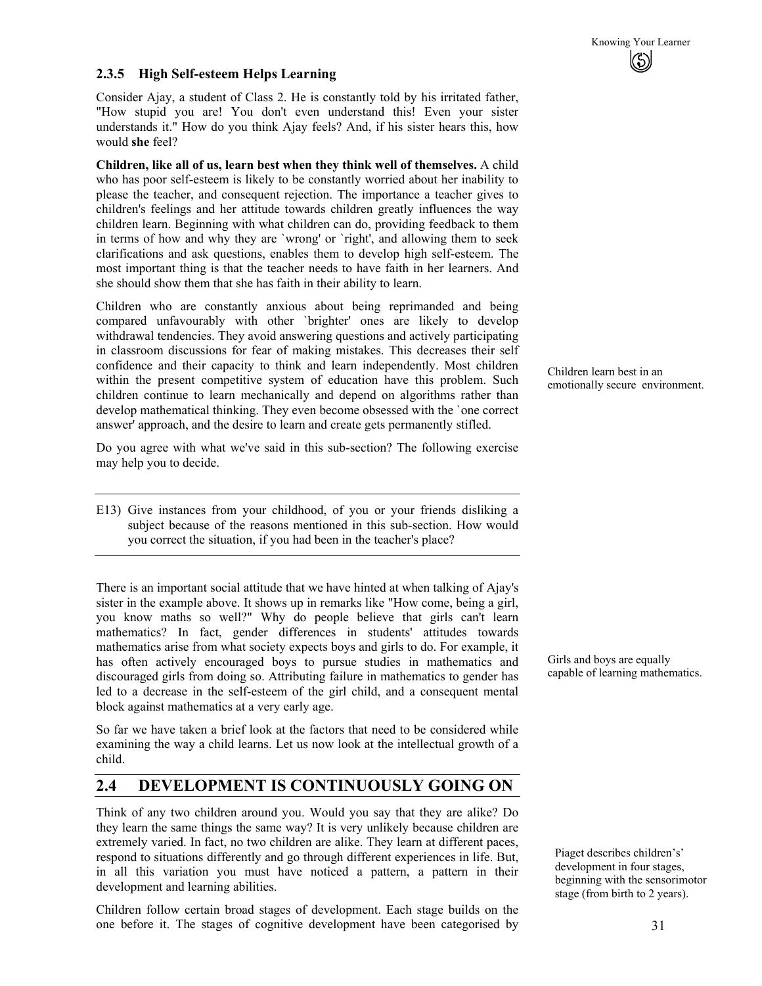#### **2.3.5 High Self-esteem Helps Learning**

Consider Ajay, a student of Class 2. He is constantly told by his irritated father, "How stupid you are! You don't even understand this! Even your sister understands it." How do you think Ajay feels? And, if his sister hears this, how would **she** feel?

**Children, like all of us, learn best when they think well of themselves.** A child who has poor self-esteem is likely to be constantly worried about her inability to please the teacher, and consequent rejection. The importance a teacher gives to children's feelings and her attitude towards children greatly influences the way children learn. Beginning with what children can do, providing feedback to them in terms of how and why they are `wrong' or `right', and allowing them to seek clarifications and ask questions, enables them to develop high self-esteem. The most important thing is that the teacher needs to have faith in her learners. And she should show them that she has faith in their ability to learn.

Children who are constantly anxious about being reprimanded and being compared unfavourably with other `brighter' ones are likely to develop withdrawal tendencies. They avoid answering questions and actively participating in classroom discussions for fear of making mistakes. This decreases their self confidence and their capacity to think and learn independently. Most children within the present competitive system of education have this problem. Such children continue to learn mechanically and depend on algorithms rather than develop mathematical thinking. They even become obsessed with the `one correct answer' approach, and the desire to learn and create gets permanently stifled.

Do you agree with what we've said in this sub-section? The following exercise may help you to decide.

E13) Give instances from your childhood, of you or your friends disliking a subject because of the reasons mentioned in this sub-section. How would you correct the situation, if you had been in the teacher's place?

There is an important social attitude that we have hinted at when talking of Ajay's sister in the example above. It shows up in remarks like "How come, being a girl, you know maths so well?" Why do people believe that girls can't learn mathematics? In fact, gender differences in students' attitudes towards mathematics arise from what society expects boys and girls to do. For example, it has often actively encouraged boys to pursue studies in mathematics and discouraged girls from doing so. Attributing failure in mathematics to gender has led to a decrease in the self-esteem of the girl child, and a consequent mental block against mathematics at a very early age.

So far we have taken a brief look at the factors that need to be considered while examining the way a child learns. Let us now look at the intellectual growth of a child.

# **2.4 DEVELOPMENT IS CONTINUOUSLY GOING ON**

Think of any two children around you. Would you say that they are alike? Do they learn the same things the same way? It is very unlikely because children are extremely varied. In fact, no two children are alike. They learn at different paces, respond to situations differently and go through different experiences in life. But, in all this variation you must have noticed a pattern, a pattern in their development and learning abilities.

Children follow certain broad stages of development. Each stage builds on the one before it. The stages of cognitive development have been categorised by Children learn best in an emotionally secure environment.

Girls and boys are equally capable of learning mathematics.

Piaget describes children's' development in four stages, beginning with the sensorimotor stage (from birth to 2 years).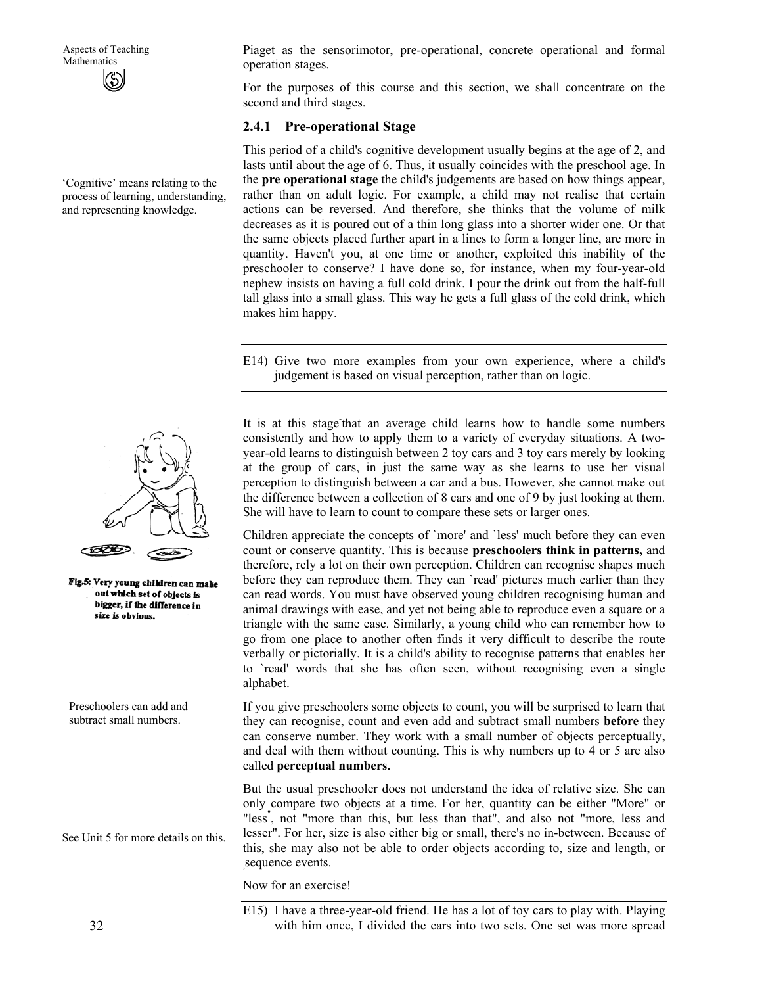'Cognitive' means relating to the process of learning, understanding, and representing knowledge.



Fig.5: Very young children can make out which set of objects is bigger, if the difference in size is obvious.

Preschoolers can add and subtract small numbers.

See Unit 5 for more details on this.

Piaget as the sensorimotor, pre-operational, concrete operational and formal operation stages.

For the purposes of this course and this section, we shall concentrate on the second and third stages.

#### **2.4.1 Pre-operational Stage**

This period of a child's cognitive development usually begins at the age of 2, and lasts until about the age of 6. Thus, it usually coincides with the preschool age. In the **pre operational stage** the child's judgements are based on how things appear, rather than on adult logic. For example, a child may not realise that certain actions can be reversed. And therefore, she thinks that the volume of milk decreases as it is poured out of a thin long glass into a shorter wider one. Or that the same objects placed further apart in a lines to form a longer line, are more in quantity. Haven't you, at one time or another, exploited this inability of the preschooler to conserve? I have done so, for instance, when my four-year-old nephew insists on having a full cold drink. I pour the drink out from the half-full tall glass into a small glass. This way he gets a full glass of the cold drink, which makes him happy.

E14) Give two more examples from your own experience, where a child's judgement is based on visual perception, rather than on logic.

It is at this stage that an average child learns how to handle some numbers consistently and how to apply them to a variety of everyday situations. A twoyear-old learns to distinguish between 2 toy cars and 3 toy cars merely by looking at the group of cars, in just the same way as she learns to use her visual perception to distinguish between a car and a bus. However, she cannot make out the difference between a collection of 8 cars and one of 9 by just looking at them. She will have to learn to count to compare these sets or larger ones.

Children appreciate the concepts of `more' and `less' much before they can even count or conserve quantity. This is because **preschoolers think in patterns,** and therefore, rely a lot on their own perception. Children can recognise shapes much before they can reproduce them. They can `read' pictures much earlier than they can read words. You must have observed young children recognising human and animal drawings with ease, and yet not being able to reproduce even a square or a triangle with the same ease. Similarly, a young child who can remember how to go from one place to another often finds it very difficult to describe the route verbally or pictorially. It is a child's ability to recognise patterns that enables her to `read' words that she has often seen, without recognising even a single alphabet.

If you give preschoolers some objects to count, you will be surprised to learn that they can recognise, count and even add and subtract small numbers **before** they can conserve number. They work with a small number of objects perceptually, and deal with them without counting. This is why numbers up to 4 or 5 are also called **perceptual numbers.** 

But the usual preschooler does not understand the idea of relative size. She can only compare two objects at a time. For her, quantity can be either "More" or "less" , not "more than this, but less than that", and also not "more, less and lesser". For her, size is also either big or small, there's no in-between. Because of this, she may also not be able to order objects according to, size and length, or sequence events.

Now for an exercise!

E15) I have a three-year-old friend. He has a lot of toy cars to play with. Playing with him once, I divided the cars into two sets. One set was more spread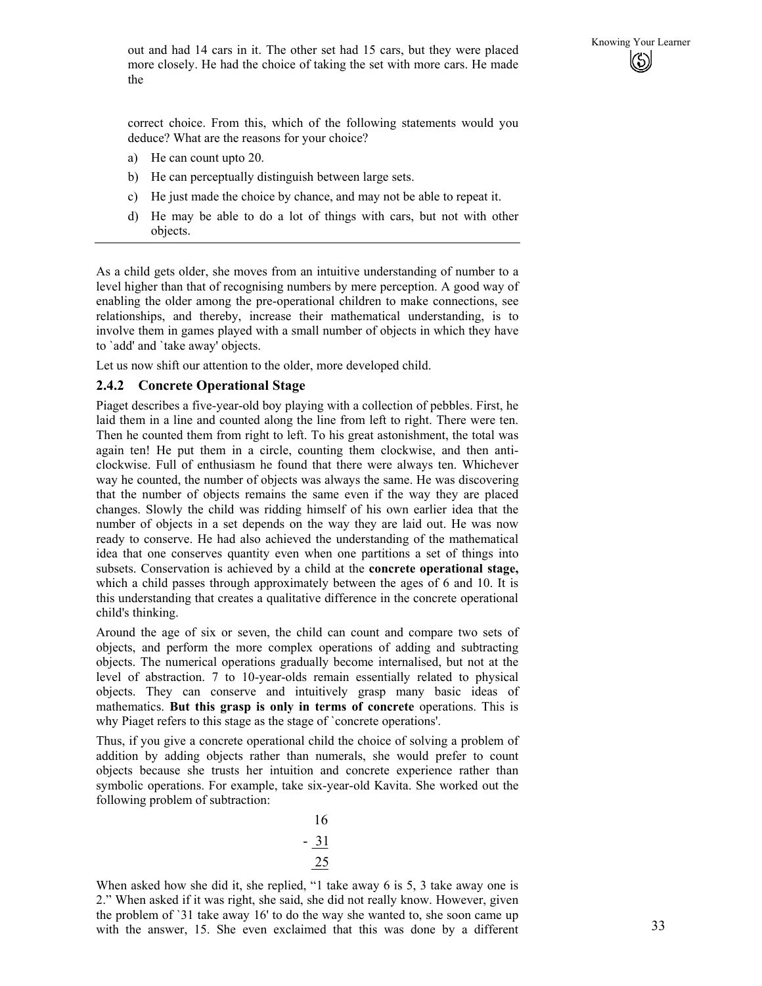out and had 14 cars in it. The other set had 15 cars, but they were placed<br>more closely. He had the choice of taking the set with more cars. He made more closely. He had the choice of taking the set with more cars. He made the

correct choice. From this, which of the following statements would you deduce? What are the reasons for your choice?

- a) He can count upto 20.
- b) He can perceptually distinguish between large sets.
- c) He just made the choice by chance, and may not be able to repeat it.
- d) He may be able to do a lot of things with cars, but not with other objects.

As a child gets older, she moves from an intuitive understanding of number to a level higher than that of recognising numbers by mere perception. A good way of enabling the older among the pre-operational children to make connections, see relationships, and thereby, increase their mathematical understanding, is to involve them in games played with a small number of objects in which they have to `add' and `take away' objects.

Let us now shift our attention to the older, more developed child.

#### **2.4.2 Concrete Operational Stage**

Piaget describes a five-year-old boy playing with a collection of pebbles. First, he laid them in a line and counted along the line from left to right. There were ten. Then he counted them from right to left. To his great astonishment, the total was again ten! He put them in a circle, counting them clockwise, and then anticlockwise. Full of enthusiasm he found that there were always ten. Whichever way he counted, the number of objects was always the same. He was discovering that the number of objects remains the same even if the way they are placed changes. Slowly the child was ridding himself of his own earlier idea that the number of objects in a set depends on the way they are laid out. He was now ready to conserve. He had also achieved the understanding of the mathematical idea that one conserves quantity even when one partitions a set of things into subsets. Conservation is achieved by a child at the **concrete operational stage,**  which a child passes through approximately between the ages of 6 and 10. It is this understanding that creates a qualitative difference in the concrete operational child's thinking.

Around the age of six or seven, the child can count and compare two sets of objects, and perform the more complex operations of adding and subtracting objects. The numerical operations gradually become internalised, but not at the level of abstraction. 7 to 10-year-olds remain essentially related to physical objects. They can conserve and intuitively grasp many basic ideas of mathematics. **But this grasp is only in terms of concrete** operations. This is why Piaget refers to this stage as the stage of `concrete operations'.

Thus, if you give a concrete operational child the choice of solving a problem of addition by adding objects rather than numerals, she would prefer to count objects because she trusts her intuition and concrete experience rather than symbolic operations. For example, take six-year-old Kavita. She worked out the following problem of subtraction:

When asked how she did it, she replied, "1 take away 6 is 5, 3 take away one is 2." When asked if it was right, she said, she did not really know. However, given the problem of `31 take away 16' to do the way she wanted to, she soon came up with the answer, 15. She even exclaimed that this was done by a different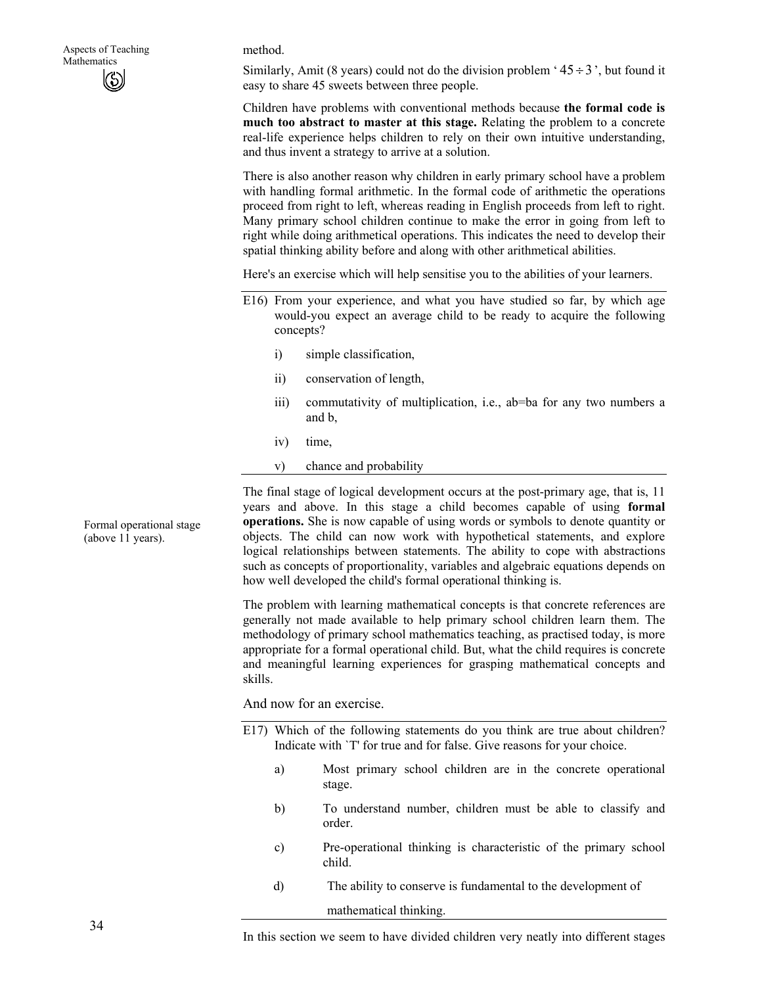#### method.

Similarly, Amit (8 years) could not do the division problem ' $45 \div 3$ ', but found it easy to share 45 sweets between three people.

Children have problems with conventional methods because **the formal code is much too abstract to master at this stage.** Relating the problem to a concrete real-life experience helps children to rely on their own intuitive understanding, and thus invent a strategy to arrive at a solution.

There is also another reason why children in early primary school have a problem with handling formal arithmetic. In the formal code of arithmetic the operations proceed from right to left, whereas reading in English proceeds from left to right. Many primary school children continue to make the error in going from left to right while doing arithmetical operations. This indicates the need to develop their spatial thinking ability before and along with other arithmetical abilities.

Here's an exercise which will help sensitise you to the abilities of your learners.

- E16) From your experience, and what you have studied so far, by which age would-you expect an average child to be ready to acquire the following concepts?
	- i) simple classification,
	- ii) conservation of length,
	- iii) commutativity of multiplication, i.e., ab=ba for any two numbers a and b,
	- iv) time,
	- v) chance and probability

The final stage of logical development occurs at the post-primary age, that is, 11 years and above. In this stage a child becomes capable of using **formal operations.** She is now capable of using words or symbols to denote quantity or objects. The child can now work with hypothetical statements, and explore logical relationships between statements. The ability to cope with abstractions such as concepts of proportionality, variables and algebraic equations depends on how well developed the child's formal operational thinking is.

The problem with learning mathematical concepts is that concrete references are generally not made available to help primary school children learn them. The methodology of primary school mathematics teaching, as practised today, is more appropriate for a formal operational child. But, what the child requires is concrete and meaningful learning experiences for grasping mathematical concepts and skills.

And now for an exercise.

- E17) Which of the following statements do you think are true about children? Indicate with `T' for true and for false. Give reasons for your choice.
	- a) Most primary school children are in the concrete operational stage.
	- b) To understand number, children must be able to classify and order.
	- c) Pre-operational thinking is characteristic of the primary school child.
	- d) The ability to conserve is fundamental to the development of

mathematical thinking.

Formal operational stage (above 11 years).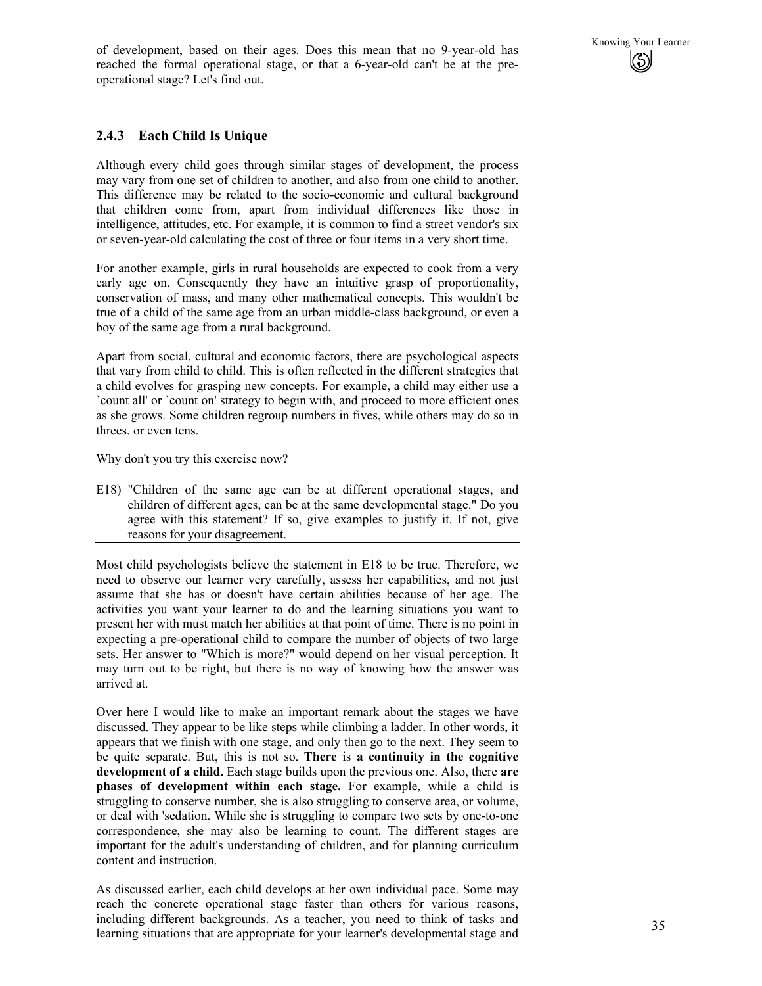of development, based on their ages. Does this mean that no 9-year-old has Knowing Your Learner<br>reached the formal operational stage, or that a 6-year-old can't be at the prereached the formal operational stage, or that a 6-year-old can't be at the preoperational stage? Let's find out.

#### **2.4.3 Each Child Is Unique**

Although every child goes through similar stages of development, the process may vary from one set of children to another, and also from one child to another. This difference may be related to the socio-economic and cultural background that children come from, apart from individual differences like those in intelligence, attitudes, etc. For example, it is common to find a street vendor's six or seven-year-old calculating the cost of three or four items in a very short time.

For another example, girls in rural households are expected to cook from a very early age on. Consequently they have an intuitive grasp of proportionality, conservation of mass, and many other mathematical concepts. This wouldn't be true of a child of the same age from an urban middle-class background, or even a boy of the same age from a rural background.

Apart from social, cultural and economic factors, there are psychological aspects that vary from child to child. This is often reflected in the different strategies that a child evolves for grasping new concepts. For example, a child may either use a `count all' or `count on' strategy to begin with, and proceed to more efficient ones as she grows. Some children regroup numbers in fives, while others may do so in threes, or even tens.

Why don't you try this exercise now?

E18) "Children of the same age can be at different operational stages, and children of different ages, can be at the same developmental stage." Do you agree with this statement? If so, give examples to justify it. If not, give reasons for your disagreement.

Most child psychologists believe the statement in E18 to be true. Therefore, we need to observe our learner very carefully, assess her capabilities, and not just assume that she has or doesn't have certain abilities because of her age. The activities you want your learner to do and the learning situations you want to present her with must match her abilities at that point of time. There is no point in expecting a pre-operational child to compare the number of objects of two large sets. Her answer to "Which is more?" would depend on her visual perception. It may turn out to be right, but there is no way of knowing how the answer was arrived at.

Over here I would like to make an important remark about the stages we have discussed. They appear to be like steps while climbing a ladder. In other words, it appears that we finish with one stage, and only then go to the next. They seem to be quite separate. But, this is not so. **There** is **a continuity in the cognitive development of a child.** Each stage builds upon the previous one. Also, there **are phases of development within each stage.** For example, while a child is struggling to conserve number, she is also struggling to conserve area, or volume, or deal with 'sedation. While she is struggling to compare two sets by one-to-one correspondence, she may also be learning to count. The different stages are important for the adult's understanding of children, and for planning curriculum content and instruction.

As discussed earlier, each child develops at her own individual pace. Some may reach the concrete operational stage faster than others for various reasons, including different backgrounds. As a teacher, you need to think of tasks and learning situations that are appropriate for your learner's developmental stage and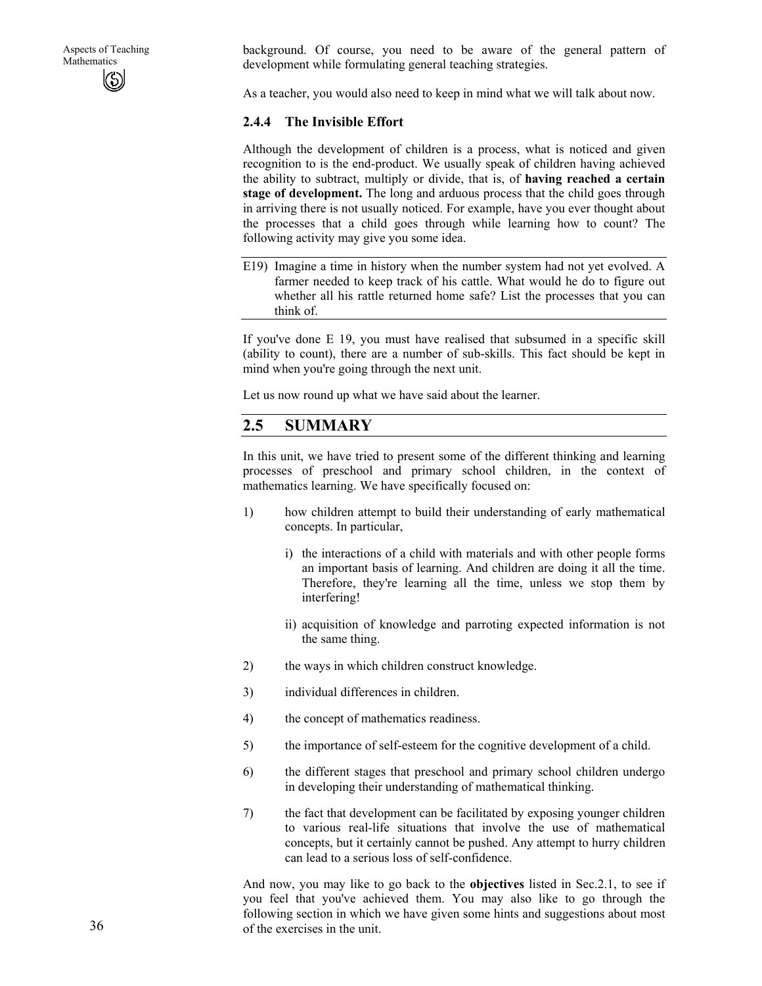background. Of course, you need to be aware of the general pattern of development while formulating general teaching strategies.

As a teacher, you would also need to keep in mind what we will talk about now.

#### **2.4.4 The Invisible Effort**

Although the development of children is a process, what is noticed and given recognition to is the end-product. We usually speak of children having achieved the ability to subtract, multiply or divide, that is, of **having reached a certain stage of development.** The long and arduous process that the child goes through in arriving there is not usually noticed. For example, have you ever thought about the processes that a child goes through while learning how to count? The following activity may give you some idea.

E19) Imagine a time in history when the number system had not yet evolved. A farmer needed to keep track of his cattle. What would he do to figure out whether all his rattle returned home safe? List the processes that you can think of.

If you've done E 19, you must have realised that subsumed in a specific skill (ability to count), there are a number of sub-skills. This fact should be kept in mind when you're going through the next unit.

Let us now round up what we have said about the learner.

#### **2.5 SUMMARY**

In this unit, we have tried to present some of the different thinking and learning processes of preschool and primary school children, in the context of mathematics learning. We have specifically focused on:

- 1) how children attempt to build their understanding of early mathematical concepts. In particular,
	- i) the interactions of a child with materials and with other people forms an important basis of learning. And children are doing it all the time. Therefore, they're learning all the time, unless we stop them by interfering!
	- ii) acquisition of knowledge and parroting expected information is not the same thing.
- 2) the ways in which children construct knowledge.
- 3) individual differences in children.
- 4) the concept of mathematics readiness.
- 5) the importance of self-esteem for the cognitive development of a child.
- 6) the different stages that preschool and primary school children undergo in developing their understanding of mathematical thinking.
- 7) the fact that development can be facilitated by exposing younger children to various real-life situations that involve the use of mathematical concepts, but it certainly cannot be pushed. Any attempt to hurry children can lead to a serious loss of self-confidence.

And now, you may like to go back to the **objectives** listed in Sec.2.1, to see if you feel that you've achieved them. You may also like to go through the following section in which we have given some hints and suggestions about most of the exercises in the unit.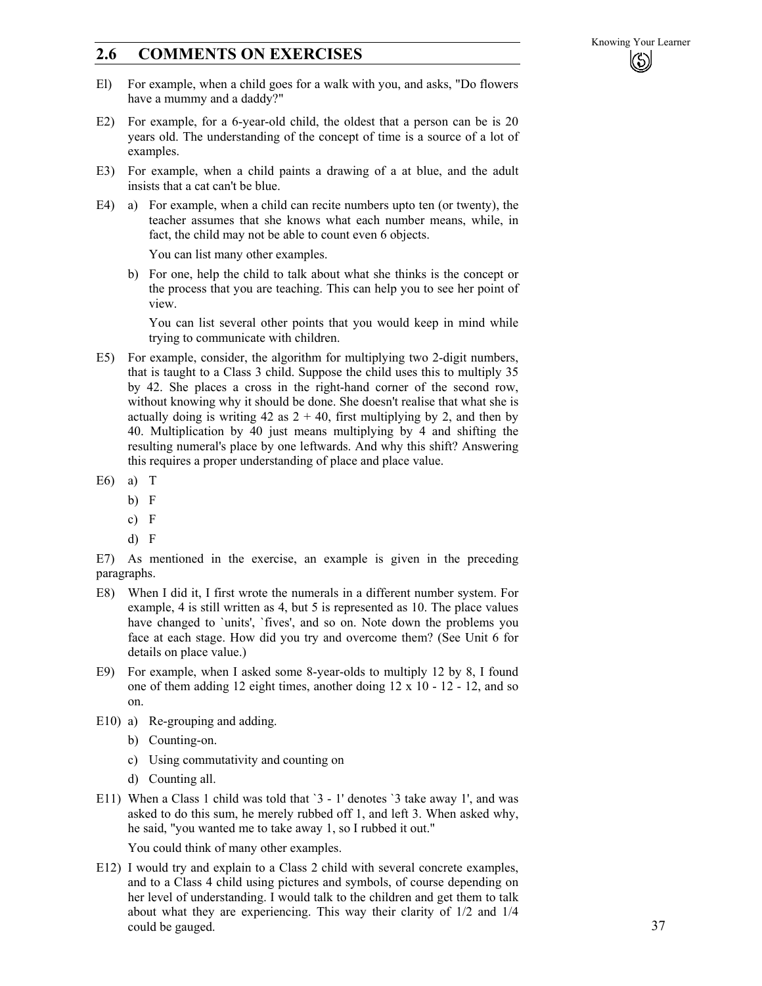# **2.6 COMMENTS ON EXERCISES**

- El) For example, when a child goes for a walk with you, and asks, "Do flowers have a mummy and a daddy?"
- E2) For example, for a 6-year-old child, the oldest that a person can be is 20 years old. The understanding of the concept of time is a source of a lot of examples.
- E3) For example, when a child paints a drawing of a at blue, and the adult insists that a cat can't be blue.
- E4) a) For example, when a child can recite numbers upto ten (or twenty), the teacher assumes that she knows what each number means, while, in fact, the child may not be able to count even 6 objects.

You can list many other examples.

b) For one, help the child to talk about what she thinks is the concept or the process that you are teaching. This can help you to see her point of view.

You can list several other points that you would keep in mind while trying to communicate with children.

- E5) For example, consider, the algorithm for multiplying two 2-digit numbers, that is taught to a Class 3 child. Suppose the child uses this to multiply 35 by 42. She places a cross in the right-hand corner of the second row, without knowing why it should be done. She doesn't realise that what she is actually doing is writing 42 as  $2 + 40$ , first multiplying by 2, and then by 40. Multiplication by 40 just means multiplying by 4 and shifting the resulting numeral's place by one leftwards. And why this shift? Answering this requires a proper understanding of place and place value.
- $E6$ ) a) T
	- b) F
	- c) F
	- d) F

E7) As mentioned in the exercise, an example is given in the preceding paragraphs.

- E8) When I did it, I first wrote the numerals in a different number system. For example, 4 is still written as 4, but 5 is represented as 10. The place values have changed to `units', `fives', and so on. Note down the problems you face at each stage. How did you try and overcome them? (See Unit 6 for details on place value.)
- E9) For example, when I asked some 8-year-olds to multiply 12 by 8, I found one of them adding 12 eight times, another doing 12 x 10 - 12 - 12, and so on.
- E10) a) Re-grouping and adding.
	- b) Counting-on.
	- c) Using commutativity and counting on
	- d) Counting all.
- E11) When a Class 1 child was told that `3 1' denotes `3 take away 1', and was asked to do this sum, he merely rubbed off 1, and left 3. When asked why, he said, "you wanted me to take away 1, so I rubbed it out."

You could think of many other examples.

E12) I would try and explain to a Class 2 child with several concrete examples, and to a Class 4 child using pictures and symbols, of course depending on her level of understanding. I would talk to the children and get them to talk about what they are experiencing. This way their clarity of 1/2 and 1/4 could be gauged.